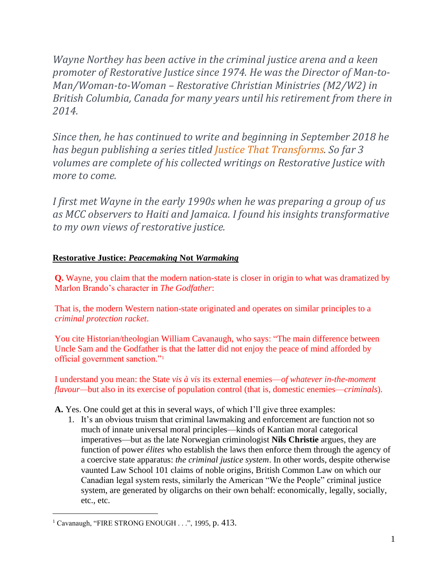*Wayne Northey has been active in the criminal justice arena and a keen promoter of Restorative Justice since 1974. He was the Director of Man-to-Man/Woman-to-Woman – Restorative Christian Ministries (M2/W2) in British Columbia, Canada for many years until his retirement from there in 2014.* 

*Since then, he has continued to write and beginning in September 2018 he has begun publishing a series titled Justice That [Transforms.](https://waynenorthey.com/justice/justice-that-transforms/) So far 3 volumes are complete of his collected writings on Restorative Justice with more to come.*

*I first met Wayne in the early 1990s when he was preparing a group of us as MCC observers to Haiti and Jamaica. I found his insights transformative to my own views of restorative justice.*

### **Restorative Justice:** *Peacemaking* **Not** *Warmaking*

**Q.** Wayne, you claim that the modern nation-state is closer in origin to what was dramatized by Marlon Brando's character in *The Godfather*:

That is, the modern Western nation-state originated and operates on similar principles to a *criminal protection racket*.

You cite Historian/theologian William Cavanaugh, who says: "The main difference between Uncle Sam and the Godfather is that the latter did not enjoy the peace of mind afforded by official government sanction."<sup>1</sup>

I understand you mean: the State *vis à vis* its external enemies—*of whatever in-the-moment flavour—*but also in its exercise of population control (that is, domestic enemies—*criminals*).

**A.** Yes. One could get at this in several ways, of which I'll give three examples:

1. It's an obvious truism that criminal lawmaking and enforcement are function not so much of innate universal moral principles—kinds of Kantian moral categorical imperatives—but as the late Norwegian criminologist **Nils Christie** argues, they are function of power *élites* who establish the laws then enforce them through the agency of a coercive state apparatus: *the criminal justice system*. In other words, despite otherwise vaunted Law School 101 claims of noble origins, British Common Law on which our Canadian legal system rests, similarly the American "We the People" criminal justice system, are generated by oligarchs on their own behalf: economically, legally, socially, etc., etc.

<sup>&</sup>lt;sup>1</sup> Cavanaugh, "FIRE STRONG ENOUGH . . .", 1995, p. 413.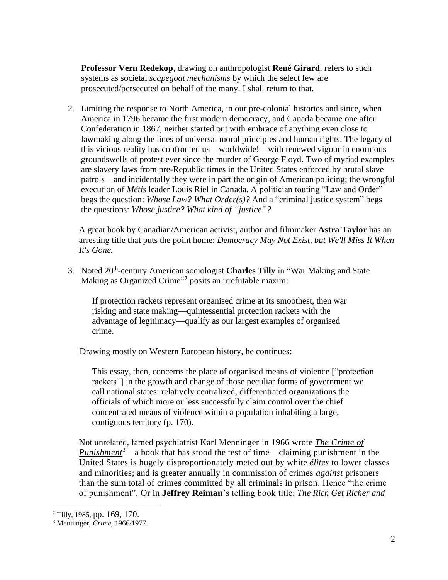**Professor Vern Redekop**, drawing on anthropologist **René Girard**, refers to such systems as societal *scapegoat mechanisms* by which the select few are prosecuted/persecuted on behalf of the many. I shall return to that.

2. Limiting the response to North America, in our pre-colonial histories and since, when America in 1796 became the first modern democracy, and Canada became one after Confederation in 1867, neither started out with embrace of anything even close to lawmaking along the lines of universal moral principles and human rights. The legacy of this vicious reality has confronted us—worldwide!—with renewed vigour in enormous groundswells of protest ever since the murder of George Floyd. Two of myriad examples are slavery laws from pre-Republic times in the United States enforced by brutal slave patrols—and incidentally they were in part the origin of American policing; the wrongful execution of *Métis* leader Louis Riel in Canada. A politician touting "Law and Order" begs the question: *Whose Law? What Order(s)?* And a "criminal justice system" begs the questions: *Whose justice? What kind of "justice"?*

A great book by Canadian/American activist, author and filmmaker **Astra Taylor** has an arresting title that puts the point home: *Democracy May Not Exist, but We'll Miss It When It's Gone.*

3. Noted 20th -century American sociologist **Charles Tilly** in "War Making and State Making as Organized Crime" **<sup>2</sup>** posits an irrefutable maxim:

If protection rackets represent organised crime at its smoothest, then war risking and state making—quintessential protection rackets with the advantage of legitimacy—qualify as our largest examples of organised crime.

Drawing mostly on Western European history, he continues:

This essay, then, concerns the place of organised means of violence ["protection rackets"] in the growth and change of those peculiar forms of government we call national states: relatively centralized, differentiated organizations the officials of which more or less successfully claim control over the chief concentrated means of violence within a population inhabiting a large, contiguous territory (p. 170).

Not unrelated, famed psychiatrist Karl Menninger in 1966 wrote *[The Crime of](https://www.goodreads.com/book/show/42643.The_Crime_of_Punishment)  [Punishment](https://www.goodreads.com/book/show/42643.The_Crime_of_Punishment)* <sup>3</sup>—a book that has stood the test of time—claiming punishment in the United States is hugely disproportionately meted out by white *élites* to lower classes and minorities; and is greater annually in commission of crimes *against* prisoners than the sum total of crimes committed by all criminals in prison. Hence "the crime of punishment". Or in **Jeffrey Reiman**'s telling book title: *[The Rich Get Richer and](https://www.amazon.ca/Rich-Get-Richer-Poor-Prison-ebook/dp/B01MQH900G/ref=sr_1_1?dchild=1&keywords=the+rich+get+richer+and+the+poor+get+prison&qid=1601182435&sr=8-1)* 

<sup>2</sup> Tilly, 1985, pp. 169, 170.

<sup>3</sup> Menninger, *Crime*, 1966/1977.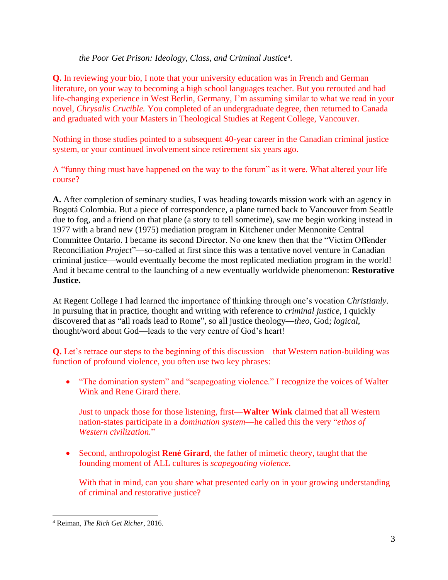### *[the Poor Get Prison: Ideology, Class, and Criminal Justice](https://www.amazon.ca/Rich-Get-Richer-Poor-Prison-ebook/dp/B01MQH900G/ref=sr_1_1?dchild=1&keywords=the+rich+get+richer+and+the+poor+get+prison&qid=1601182435&sr=8-1)<sup>4</sup>* .

**Q.** In reviewing your bio, I note that your university education was in French and German literature, on your way to becoming a high school languages teacher. But you rerouted and had life-changing experience in West Berlin, Germany, I'm assuming similar to what we read in your novel, *Chrysalis Crucible.* You completed of an undergraduate degree, then returned to Canada and graduated with your Masters in Theological Studies at Regent College, Vancouver.

Nothing in those studies pointed to a subsequent 40-year career in the Canadian criminal justice system, or your continued involvement since retirement six years ago.

A "funny thing must have happened on the way to the forum" as it were. What altered your life course?

**A.** After completion of seminary studies, I was heading towards mission work with an agency in Bogotá Colombia. But a piece of correspondence, a plane turned back to Vancouver from Seattle due to fog, and a friend on that plane (a story to tell sometime), saw me begin working instead in 1977 with a brand new (1975) mediation program in Kitchener under Mennonite Central Committee Ontario. I became its second Director. No one knew then that the "Victim Offender Reconciliation *Project*"—so-called at first since this was a tentative novel venture in Canadian criminal justice—would eventually become the most replicated mediation program in the world! And it became central to the launching of a new eventually worldwide phenomenon: **Restorative Justice.**

At Regent College I had learned the importance of thinking through one's vocation *Christianly*. In pursuing that in practice, thought and writing with reference to *criminal justice*, I quickly discovered that as "all roads lead to Rome", so all justice theology—*theo*, God; *logical*, thought/word about God—leads to the very centre of God's heart!

**Q.** Let's retrace our steps to the beginning of this discussion—that Western nation-building was function of profound violence, you often use two key phrases:

• "The domination system" and "scapegoating violence." I recognize the voices of Walter Wink and Rene Girard there.

Just to unpack those for those listening, first—**Walter Wink** claimed that all Western nation-states participate in a *domination system*—he called this the very "*ethos of Western civilization.*"

• Second, anthropologist **René Girard**, the father of mimetic theory, taught that the founding moment of ALL cultures is *scapegoating violence*.

With that in mind, can you share what presented early on in your growing understanding of criminal and restorative justice?

<sup>4</sup> Reiman, *The Rich Get Richer*, 2016.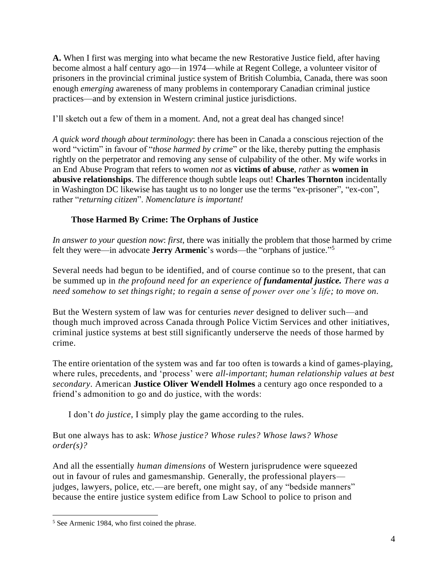**A.** When I first was merging into what became the new Restorative Justice field, after having become almost a half century ago—in 1974—while at Regent College, a volunteer visitor of prisoners in the provincial criminal justice system of British Columbia, Canada, there was soon enough *emerging* awareness of many problems in contemporary Canadian criminal justice practices—and by extension in Western criminal justice jurisdictions.

I'll sketch out a few of them in a moment. And, not a great deal has changed since!

*A quick word though about terminology*: there has been in Canada a conscious rejection of the word "victim" in favour of "*those harmed by crime*" or the like, thereby putting the emphasis rightly on the perpetrator and removing any sense of culpability of the other. My wife works in an End Abuse Program that refers to women *not* as **victims of abuse**, *rather* as **women in abusive relationships**. The difference though subtle leaps out! **Charles Thornton** incidentally in Washington DC likewise has taught us to no longer use the terms "ex-prisoner", "ex-con", rather "*returning citizen*". *Nomenclature is important!*

## **Those Harmed By Crime: The Orphans of Justice**

*In answer to your question now*: *first*, there was initially the problem that those harmed by crime felt they were—in advocate **Jerry Armenic**'s words—the "orphans of justice." 5

Several needs had begun to be identified, and of course continue so to the present, that can be summed up in *the profound need for an experience of fundamental justice. There was a need somehow to set thingsright; to regain a sense of power over one's life; to move on.*

But the Western system of law was for centuries *never* designed to deliver such—and though much improved across Canada through Police Victim Services and other initiatives, criminal justice systems at best still significantly underserve the needs of those harmed by crime.

The entire orientation of the system was and far too often is towards a kind of games-playing, where rules, precedents, and 'process' were *all-important*; *human relationship values at best secondary*. American **Justice Oliver Wendell Holmes** a century ago once responded to a friend's admonition to go and do justice, with the words:

I don't *do justice*, I simply play the game according to the rules.

But one always has to ask: *Whose justice? Whose rules? Whose laws? Whose order(s)?*

And all the essentially *human dimensions* of Western jurisprudence were squeezed out in favour of rules and gamesmanship. Generally, the professional players judges, lawyers, police, etc.—are bereft, one might say, of any "bedside manners" because the entire justice system edifice from Law School to police to prison and

<sup>5</sup> See Armenic 1984, who first coined the phrase.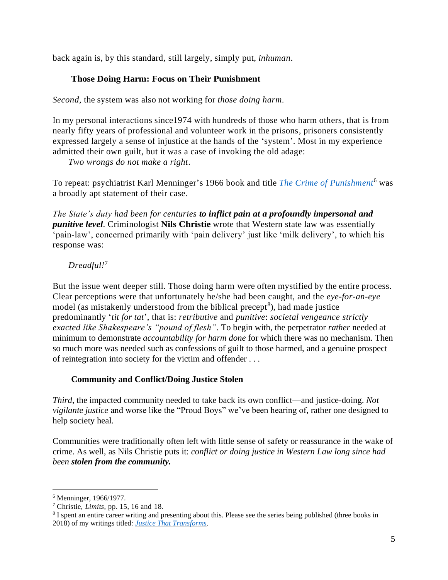back again is, by this standard, still largely, simply put, *inhuman*.

### **Those Doing Harm: Focus on Their Punishment**

*Second*, the system was also not working for *those doing harm.*

In my personal interactions since1974 with hundreds of those who harm others, that is from nearly fifty years of professional and volunteer work in the prisons, prisoners consistently expressed largely a sense of injustice at the hands of the 'system'. Most in my experience admitted their own guilt, but it was a case of invoking the old adage:

*Two wrongs do not make a right*.

To repeat: psychiatrist Karl Menninger's 1966 book and title *[The Crime of Punishment](https://www.goodreads.com/book/show/42643.The_Crime_of_Punishment)*<sup>6</sup> was a broadly apt statement of their case.

*The State's duty had been for centuries to inflict pain at a profoundly impersonal and punitive level*. Criminologist **Nils Christie** wrote that Western state law was essentially 'pain-law', concerned primarily with 'pain delivery' just like 'milk delivery', to which his response was:

### *Dreadful!*<sup>7</sup>

But the issue went deeper still. Those doing harm were often mystified by the entire process. Clear perceptions were that unfortunately he/she had been caught, and the *eye-for-an-eye*  model (as mistakenly understood from the biblical precept<sup>8</sup>), had made justice predominantly '*tit for tat*', that is: *retributive* and *punitive*: *societal vengeance strictly exacted like Shakespeare's "pound of flesh"*. To begin with, the perpetrator *rather* needed at minimum to demonstrate *accountability for harm done* for which there was no mechanism. Then so much more was needed such as confessions of guilt to those harmed, and a genuine prospect of reintegration into society for the victim and offender . . .

#### **Community and Conflict/Doing Justice Stolen**

*Third*, the impacted community needed to take back its own conflict—and justice-doing. *Not vigilante justice* and worse like the "Proud Boys" we've been hearing of, rather one designed to help society heal.

Communities were traditionally often left with little sense of safety or reassurance in the wake of crime. As well, as Nils Christie puts it: *conflict or doing justice in Western Law long since had been stolen from the community.*

<sup>6</sup> Menninger, 1966/1977.

<sup>7</sup> Christie, *Limits*, pp. 15, 16 and 18.

<sup>&</sup>lt;sup>8</sup> I spent an entire career writing and presenting about this. Please see the series being published (three books in 2018) of my writings titled: *[Justice That Transforms](https://waynenorthey.com/justice/justice-that-transforms/)*.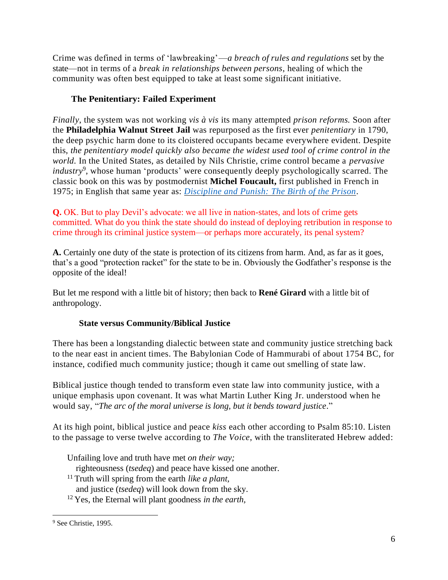Crime was defined in terms of 'lawbreaking'—*a breach of rules and regulations* set by the state—not in terms of a *break in relationships between persons*, healing of which the community was often best equipped to take at least some significant initiative.

# **The Penitentiary: Failed Experiment**

*Finally*, the system was not working *vis à vis* its many attempted *prison reforms.* Soon after the **Philadelphia Walnut Street Jail** was repurposed as the first ever *penitentiary* in 1790, the deep psychic harm done to its cloistered occupants became everywhere evident. Despite this, *the penitentiary model quickly also became the widest used tool of crime control in the world.* In the United States, as detailed by Nils Christie, crime control became a *pervasive industry*<sup>9</sup>, whose human 'products' were consequently deeply psychologically scarred. The classic book on this was by postmodernist **Michel Foucault,** first published in French in 1975; in English that same year as: *[Discipline and Punish: The Birth of the Prison](https://www.amazon.ca/Discipline-Punish-Prison-Michel-Foucault/dp/0679752552/ref=sr_1_1?dchild=1&keywords=Discipline+and+Punish%3A+The+Birth+of+the+Prison&qid=1596520069&sr=8-1)*.

**Q.** OK. But to play Devil's advocate: we all live in nation-states, and lots of crime gets committed. What do you think the state should do instead of deploying retribution in response to crime through its criminal justice system—or perhaps more accurately, its penal system?

**A.** Certainly one duty of the state is protection of its citizens from harm. And, as far as it goes, that's a good "protection racket" for the state to be in. Obviously the Godfather's response is the opposite of the ideal!

But let me respond with a little bit of history; then back to **René Girard** with a little bit of anthropology.

### **State versus Community/Biblical Justice**

There has been a longstanding dialectic between state and community justice stretching back to the near east in ancient times. The Babylonian Code of Hammurabi of about 1754 BC, for instance, codified much community justice; though it came out smelling of state law.

Biblical justice though tended to transform even state law into community justice, with a unique emphasis upon covenant. It was what Martin Luther King Jr. understood when he would say, "*The arc of the moral universe is long, but it bends toward justice*."

At its high point, biblical justice and peace *kiss* each other according to Psalm 85:10. Listen to the passage to verse twelve according to *The Voice*, with the transliterated Hebrew added:

Unfailing love and truth have met *on their way;*

righteousness (*tsedeq*) and peace have kissed one another.

<sup>11</sup> Truth will spring from the earth *like a plant,*

and justice (*tsedeq*) will look down from the sky.

<sup>12</sup> Yes, the Eternal will plant goodness *in the earth,*

<sup>9</sup> See Christie, 1995.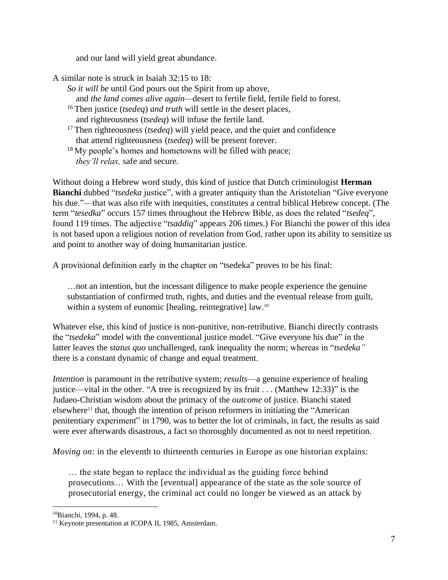and our land will yield great abundance.

A similar note is struck in Isaiah 32:15 to 18:

- *So it will be* until God pours out the Spirit from up above, and *the land comes alive again—*desert to fertile field, fertile field to forest.
- <sup>16</sup> Then justice (*tsedeq*) *and truth* will settle in the desert places, and righteousness (*tsedeq*) will infuse the fertile land.
- <sup>17</sup> Then righteousness (*tsedeq*) will yield peace, and the quiet and confidence that attend righteousness (*tsedeq*) will be present forever.
- <sup>18</sup> My people's homes and hometowns will be filled with peace; *they'll relax,* safe and secure.

Without doing a Hebrew word study, this kind of justice that Dutch criminologist **Herman Bianchi** dubbed "*tsedeka* justice", with a greater antiquity than the Aristotelian "Give everyone his due."—that was also rife with inequities, constitutes a central biblical Hebrew concept. (The term "*tesedka*" occurs 157 times throughout the Hebrew Bible, as does the related "*tsedeq*", found 119 times. The adjective "*tsaddiq*" appears 206 times.) For Bianchi the power of this idea is not based upon a religious notion of revelation from God, rather upon its ability to sensitize us and point to another way of doing humanitarian justice.

A provisional definition early in the chapter on "tsedeka" proves to be his final:

…not an intention, but the incessant diligence to make people experience the genuine substantiation of confirmed truth, rights, and duties and the eventual release from guilt, within a system of eunomic [healing, reintegrative] law.<sup>10</sup>

Whatever else, this kind of justice is non-punitive, non-retributive. Bianchi directly contrasts the "*tsedeka*" model with the conventional justice model. "Give everyone his due" in the latter leaves the *status quo* unchallenged, rank inequality the norm; whereas in "*tsedeka"*  there is a constant dynamic of change and equal treatment.

*Intention* is paramount in the retributive system; *results*—a genuine experience of healing justice—vital in the other. "A tree is recognized by its fruit . . . (Matthew 12:33)" is the Judaeo-Christian wisdom about the primacy of the *outcome* of justice. Bianchi stated  $e$ lsewhere<sup>11</sup> that, though the intention of prison reformers in initiating the "American penitentiary experiment" in 1790, was to better the lot of criminals, in fact, the results as said were ever afterwards disastrous, a fact so thoroughly documented as not to need repetition.

*Moving on*: in the eleventh to thirteenth centuries in Europe as one historian explains:

… the state began to replace the individual as the guiding force behind prosecutions… With the [eventual] appearance of the state as the sole source of prosecutorial energy, the criminal act could no longer be viewed as an attack by

<sup>10</sup>Bianchi, 1994, p. 48.

<sup>&</sup>lt;sup>11</sup> Keynote presentation at ICOPA II, 1985, Amsterdam.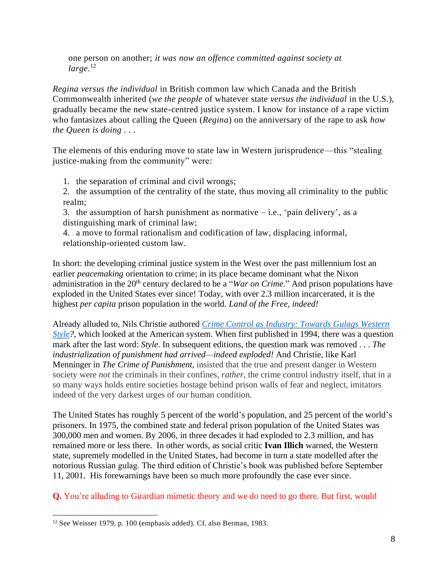one person on another; *it was now an offence committed against society at large*. 12

*Regina versus the individual* in British common law which Canada and the British Commonwealth inherited (*we the people* of whatever state *versus the individual* in the U.S.), gradually became the new state-centred justice system. I know for instance of a rape victim who fantasizes about calling the Queen (*Regina*) on the anniversary of the rape to ask *how the Queen is doing . . .*

The elements of this enduring move to state law in Western jurisprudence—this "stealing justice-making from the community" were:

1. the separation of criminal and civil wrongs;

2. the assumption of the centrality of the state, thus moving all criminality to the public realm;

3. the assumption of harsh punishment as normative  $-$  i.e., 'pain delivery', as a distinguishing mark of criminal law;

4. a move to formal rationalism and codification of law, displacing informal, relationship-oriented custom law.

In short: the developing criminal justice system in the West over the past millennium lost an earlier *peacemaking* orientation to crime; in its place became dominant what the Nixon administration in the 20<sup>th</sup> century declared to be a "*War on Crime*." And prison populations have exploded in the United States ever since! Today, with over 2.3 million incarcerated, it is the highest *per capita* prison population in the world. *Land of the Free, indeed!*

Already alluded to, Nils Christie authored *[Crime Control as Industry: Towards Gulags Western](https://www.amazon.ca/Crime-Control-As-Industry-Routledge-ebook/dp/B01M1NR924/ref=sr_1_1?dchild=1&keywords=Crime+Control+as+Industry%3A+Towards+Gulags+Western+Style&qid=1596521351&sr=8-1)  [Style?](https://www.amazon.ca/Crime-Control-As-Industry-Routledge-ebook/dp/B01M1NR924/ref=sr_1_1?dchild=1&keywords=Crime+Control+as+Industry%3A+Towards+Gulags+Western+Style&qid=1596521351&sr=8-1)*, which looked at the American system. When first published in 1994, there was a question mark after the last word: *Style*. In subsequent editions, the question mark was removed . . . *The industrialization of punishment had arrived—indeed exploded!* And Christie, like Karl Menninger in *The Crime of Punishment*, insisted that the true and present danger in Western society were *not* the criminals in their confines, *rather*, the crime control industry itself, that in a so many ways holds entire societies hostage behind prison walls of fear and neglect, imitators indeed of the very darkest urges of our human condition.

The United States has roughly 5 percent of the world's population, and 25 percent of the world's prisoners. In 1975, the combined state and federal prison population of the United States was 300,000 men and women. By 2006, in three decades it had exploded to 2.3 million, and has remained more or less there. In other words, as social critic **Ivan Illich** warned, the Western state, supremely modelled in the United States, had become in turn a state modelled after the notorious Russian gulag. The third edition of Christie's book was published before September 11, 2001. His forewarnings have been so much more profoundly the case ever since.

**Q.** You're alluding to Girardian mimetic theory and we do need to go there. But first, would

<sup>12</sup> See Weisser 1979, p. 100 (emphasis added). Cf. also Berman, 1983.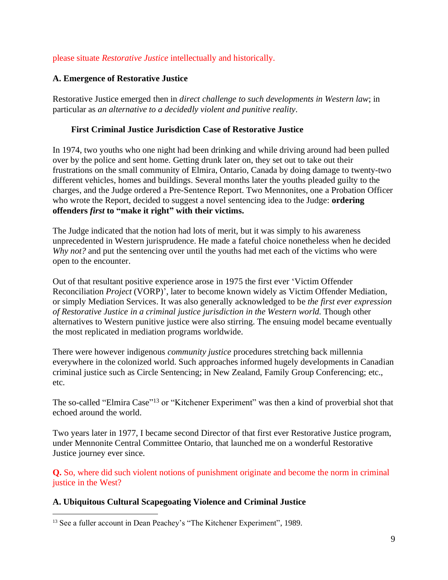### please situate *Restorative Justice* intellectually and historically.

### **A. Emergence of Restorative Justice**

Restorative Justice emerged then in *direct challenge to such developments in Western law*; in particular as *an alternative to a decidedly violent and punitive reality*.

### **First Criminal Justice Jurisdiction Case of Restorative Justice**

In 1974, two youths who one night had been drinking and while driving around had been pulled over by the police and sent home. Getting drunk later on, they set out to take out their frustrations on the small community of Elmira, Ontario, Canada by doing damage to twenty-two different vehicles, homes and buildings. Several months later the youths pleaded guilty to the charges, and the Judge ordered a Pre-Sentence Report. Two Mennonites, one a Probation Officer who wrote the Report, decided to suggest a novel sentencing idea to the Judge: **ordering offenders** *first* **to "make it right" with their victims.**

The Judge indicated that the notion had lots of merit, but it was simply to his awareness unprecedented in Western jurisprudence. He made a fateful choice nonetheless when he decided *Why not?* and put the sentencing over until the youths had met each of the victims who were open to the encounter.

Out of that resultant positive experience arose in 1975 the first ever 'Victim Offender Reconciliation *Project* (VORP)', later to become known widely as Victim Offender Mediation, or simply Mediation Services. It was also generally acknowledged to be *the first ever expression of Restorative Justice in a criminal justice jurisdiction in the Western world.* Though other alternatives to Western punitive justice were also stirring. The ensuing model became eventually the most replicated in mediation programs worldwide.

There were however indigenous *community justice* procedures stretching back millennia everywhere in the colonized world. Such approaches informed hugely developments in Canadian criminal justice such as Circle Sentencing; in New Zealand, Family Group Conferencing; etc., etc.

The so-called "Elmira Case"<sup>13</sup> or "Kitchener Experiment" was then a kind of proverbial shot that echoed around the world.

Two years later in 1977, I became second Director of that first ever Restorative Justice program, under Mennonite Central Committee Ontario, that launched me on a wonderful Restorative Justice journey ever since.

**Q.** So, where did such violent notions of punishment originate and become the norm in criminal justice in the West?

#### **A. Ubiquitous Cultural Scapegoating Violence and Criminal Justice**

<sup>13</sup> See a fuller account in Dean Peachey's "The Kitchener Experiment", 1989.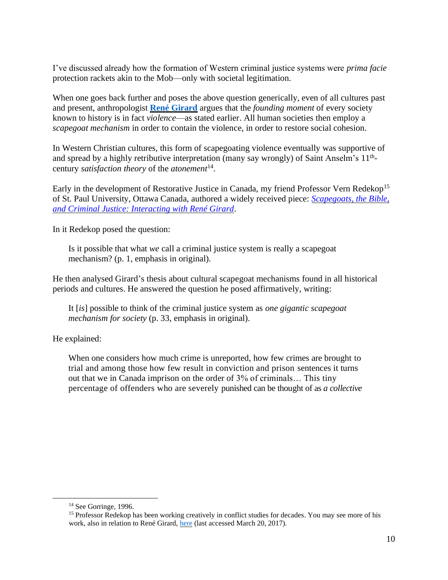I've discussed already how the formation of Western criminal justice systems were *prima facie* protection rackets akin to the Mob—only with societal legitimation.

When one goes back further and poses the above question generically, even of all cultures past and present, anthropologist **[René Girard](https://waynenorthey.com/?s=Ren%C3%A9+Girard)** argues that the *founding moment* of every society known to history is in fact *violence*—as stated earlier. All human societies then employ a *scapegoat mechanism* in order to contain the violence, in order to restore social cohesion.

In Western Christian cultures, this form of scapegoating violence eventually was supportive of and spread by a highly retributive interpretation (many say wrongly) of Saint Anselm's 11<sup>th</sup>century *satisfaction theory* of the *atonement* 14 .

Early in the development of Restorative Justice in Canada, my friend Professor Vern Redekop<sup>15</sup> of St. Paul University, Ottawa Canada, authored a widely received piece: *[Scapegoats, the Bible,](https://waynenorthey.com/wp-content/uploads/2016/06/Issue-13.pdf)  [and Criminal Justice: Interacting with René Girard](https://waynenorthey.com/wp-content/uploads/2016/06/Issue-13.pdf)*.

In it Redekop posed the question:

Is it possible that what *we* call a criminal justice system is really a scapegoat mechanism? (p. 1, emphasis in original).

He then analysed Girard's thesis about cultural scapegoat mechanisms found in all historical periods and cultures. He answered the question he posed affirmatively, writing:

It [*is*] possible to think of the criminal justice system as *one gigantic scapegoat mechanism for society* (p. 33, emphasis in original).

He explained:

When one considers how much crime is unreported, how few crimes are brought to trial and among those how few result in conviction and prison sentences it turns out that we in Canada imprison on the order of 3% of criminals… This tiny percentage of offenders who are severely punished can be thought of as *a collective* 

<sup>&</sup>lt;sup>14</sup> See Gorringe, 1996.

<sup>&</sup>lt;sup>15</sup> Professor Redekop has been working creatively in conflict studies for decades. You may see more of his work, also in relation to René Girard, [here](http://ustpaul.ca/index.php?mod=employee&id=48) (last accessed March 20, 2017).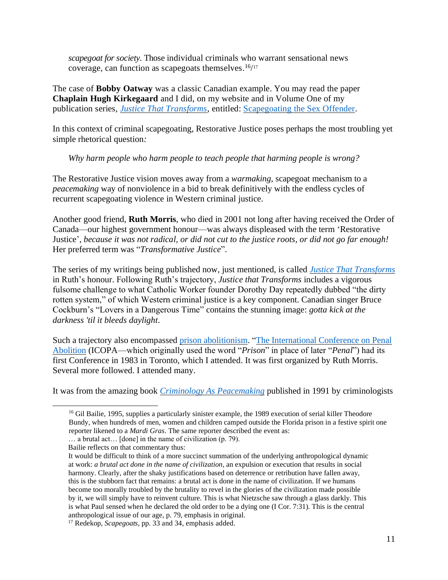*scapegoat for society*. Those individual criminals who warrant sensational news coverage, can function as scapegoats themselves.  $16/17$ 

The case of **Bobby Oatway** was a classic Canadian example. You may read the paper **Chaplain Hugh Kirkegaard** and I did, on my website and in Volume One of my publication series, *[Justice That Transforms](https://waynenorthey.com/justice/justice-that-transforms/?theme_preview=true&iframe=true&frame-nonce=0c7fbeb969)*, entitled: Scapegoating [the Sex Offender.](https://waynenorthey.com/2015/03/20/scapegoating-the-sex-offender/)

In this context of criminal scapegoating, Restorative Justice poses perhaps the most troubling yet simple rhetorical question*:* 

*Why harm people who harm people to teach people that harming people is wrong?*

The Restorative Justice vision moves away from a *warmaking*, scapegoat mechanism to a *peacemaking* way of nonviolence in a bid to break definitively with the endless cycles of recurrent scapegoating violence in Western criminal justice.

Another good friend, **Ruth Morris**, who died in 2001 not long after having received the Order of Canada—our highest government honour—was always displeased with the term 'Restorative Justice', *because it was not radical, or did not cut to the justice roots, or did not go far enough!* Her preferred term was "*Transformative Justice*".

The series of my writings being published now, just mentioned, is called *Justice [That Transforms](https://waynenorthey.com/justice/justice-that-transforms/)* in Ruth's honour. Following Ruth's trajectory, *Justice that Transforms* includes a vigorous fulsome challenge to what Catholic Worker founder Dorothy Day repeatedly dubbed "the dirty rotten system," of which Western criminal justice is a key component. Canadian singer Bruce Cockburn's "Lovers in a Dangerous Time" contains the stunning image: *gotta kick at the darkness 'til it bleeds daylight*.

Such a trajectory also encompassed [prison abolitionism.](https://en.wikipedia.org/wiki/Prison_abolition_movement) ["The International Conference on Penal](https://abolitionistfutures.com/)  [Abolition](https://abolitionistfutures.com/) (ICOPA—which originally used the word "*Prison*" in place of later "*Penal*") had its first Conference in 1983 in Toronto, which I attended. It was first organized by Ruth Morris. Several more followed. I attended many.

It was from the amazing book *[Criminology As Peacemaking](https://books.google.ca/books/about/Criminology_as_peacemaking.html?id=UVHSAAAAIAAJ&redir_esc=y)* published in 1991 by criminologists

<sup>&</sup>lt;sup>16</sup> Gil Bailie, 1995, supplies a particularly sinister example, the 1989 execution of serial killer Theodore Bundy, when hundreds of men, women and children camped outside the Florida prison in a festive spirit one reporter likened to a *Mardi Gras*. The same reporter described the event as:

<sup>…</sup> a brutal act… [done] in the name of civilization (p. 79).

Bailie reflects on that commentary thus:

It would be difficult to think of a more succinct summation of the underlying anthropological dynamic at work: *a brutal act done in the name of civilization*, an expulsion or execution that results in social harmony. Clearly, after the shaky justifications based on deterrence or retribution have fallen away, this is the stubborn fact that remains: a brutal act is done in the name of civilization. If we humans become too morally troubled by the brutality to revel in the glories of the civilization made possible by it, we will simply have to reinvent culture. This is what Nietzsche saw through a glass darkly. This is what Paul sensed when he declared the old order to be a dying one (I Cor. 7:31). This is the central anthropological issue of our age, p. 79, emphasis in original.

<sup>17</sup> Redekop, *Scapegoats*, pp. 33 and 34, emphasis added.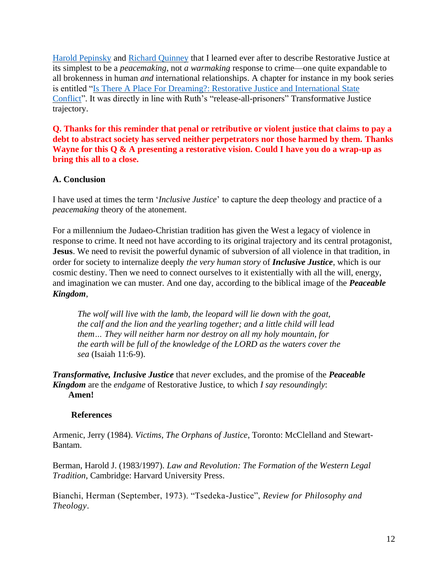[Harold Pepinsky](https://cjrc.osu.edu/people/pepinsky) and [Richard Quinney](https://en.wikipedia.org/wiki/Richard_Quinney) that I learned ever after to describe Restorative Justice at its simplest to be a *peacemaking*, not *a warmaking* response to crime—one quite expandable to all brokenness in human *and* international relationships. A chapter for instance in my book series is entitled ["Is There A Place For Dreaming?: Restorative Justice and International State](https://waynenorthey.com/2015/03/18/is-there-a-place-for-dreaming-restorative-justice-and-international-state-conflict/)  [Conflict"](https://waynenorthey.com/2015/03/18/is-there-a-place-for-dreaming-restorative-justice-and-international-state-conflict/). It was directly in line with Ruth's "release-all-prisoners" Transformative Justice trajectory.

**Q. Thanks for this reminder that penal or retributive or violent justice that claims to pay a debt to abstract society has served neither perpetrators nor those harmed by them. Thanks Wayne for this Q & A presenting a restorative vision. Could I have you do a wrap-up as bring this all to a close.**

#### **A. Conclusion**

I have used at times the term '*Inclusive Justice*' to capture the deep theology and practice of a *peacemaking* theory of the atonement.

For a millennium the Judaeo-Christian tradition has given the West a legacy of violence in response to crime. It need not have according to its original trajectory and its central protagonist, **Jesus**. We need to revisit the powerful dynamic of subversion of all violence in that tradition, in order for society to internalize deeply *the very human story* of *Inclusive Justice*, which is our cosmic destiny. Then we need to connect ourselves to it existentially with all the will, energy, and imagination we can muster. And one day, according to the biblical image of the *Peaceable Kingdom*,

*The wolf will live with the lamb, the leopard will lie down with the goat, the calf and the lion and the yearling together; and a little child will lead them… They will neither harm nor destroy on all my holy mountain, for the earth will be full of the knowledge of the LORD as the waters cover the sea* (Isaiah 11:6-9).

*Transformative, Inclusive Justice* that *never* excludes, and the promise of the *Peaceable Kingdom* are the *endgame* of Restorative Justice, to which *I say resoundingly*: **Amen!**

#### **References**

Armenic, Jerry (1984). *Victims, The Orphans of Justice*, Toronto: McClelland and Stewart-Bantam.

Berman, Harold J. (1983/1997). *Law and Revolution: The Formation of the Western Legal Tradition*, Cambridge: Harvard University Press.

Bianchi, Herman (September, 1973). "Tsedeka-Justice", *Review for Philosophy and Theology*.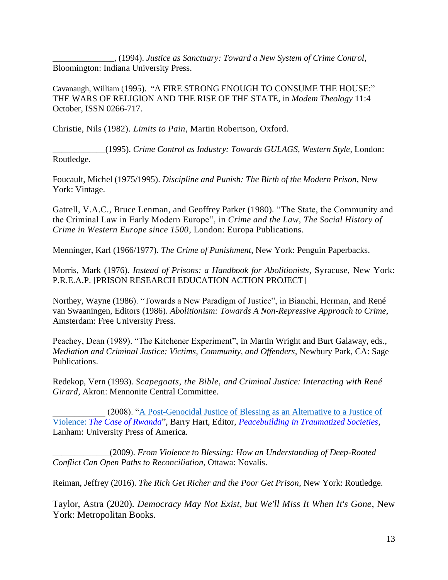\_\_\_\_\_\_\_\_\_\_\_\_\_\_, (1994). *Justice as Sanctuary: Toward a New System of Crime Control*, Bloomington: Indiana University Press.

Cavanaugh, William (1995). "A FIRE STRONG ENOUGH TO CONSUME THE HOUSE:" THE WARS OF RELIGION AND THE RISE OF THE STATE, in *Modem Theology* 11:4 October, ISSN 0266-717.

Christie, Nils (1982)*. Limits to Pain*, Martin Robertson, Oxford.

\_\_\_\_\_\_\_\_\_\_\_\_(1995). *Crime Control as Industry: Towards GULAGS, Western Style*, London: Routledge.

Foucault, Michel (1975/1995). *Discipline and Punish: The Birth of the Modern Prison*, New York: Vintage.

Gatrell, V.A.C., Bruce Lenman, and Geoffrey Parker (1980)*.* "The State, the Community and the Criminal Law in Early Modern Europe", in *Crime and the Law, The Social History of Crime in Western Europe since 1500*, London: Europa Publications.

Menninger, Karl (1966/1977). *The Crime of Punishment*, New York: Penguin Paperbacks.

Morris, Mark (1976). *Instead of Prisons: a Handbook for Abolitionists*, Syracuse, New York: P.R.E.A.P. [PRISON RESEARCH EDUCATION ACTION PROJECT]

Northey, Wayne (1986). "Towards a New Paradigm of Justice", in Bianchi, Herman, and René van Swaaningen, Editors (1986). *Abolitionism: Towards A Non-Repressive Approach to Crime*, Amsterdam: Free University Press.

Peachey, Dean (1989). "The Kitchener Experiment", in Martin Wright and Burt Galaway, eds., *Mediation and Criminal Justice: Victims, Community, and Offenders,* Newbury Park, CA: Sage Publications.

Redekop, Vern (1993). *Scapegoats, the Bible, and Criminal Justice: Interacting with René Girard*, Akron: Mennonite Central Committee.

(2008). "A Post-Genocidal Justice of Blessing as an Alternative to a Justice of Violence: *[The Case of Rwanda](https://waynenorthey.com/wp-content/uploads/2018/06/V18-Rwanda-Justice-of-Blessing-Redekop-2.pdf)*", Barry Hart, Editor, *[Peacebuilding in Traumatized Societies](https://www.amazon.ca/Peacebuilding-Traumatized-Societies-Barry-Hart/dp/0761840354)*, Lanham: University Press of America.

\_\_\_\_\_\_\_\_\_\_\_\_\_(2009). *[From Violence to Blessing: How an Understanding of Deep-Rooted](https://www.amazon.ca/Violence-Blessing-Understanding-Deep-rooted-Reconciliation/dp/2895073090)  [Conflict Can Open Paths to Reconciliation](https://www.amazon.ca/Violence-Blessing-Understanding-Deep-rooted-Reconciliation/dp/2895073090)*, Ottawa: Novalis.

Reiman, Jeffrey (2016). *The Rich Get Richer and the Poor Get Prison*, New York: Routledge.

Taylor, Astra (2020). *Democracy May Not Exist, but We'll Miss It When It's Gone*, New York: Metropolitan Books.